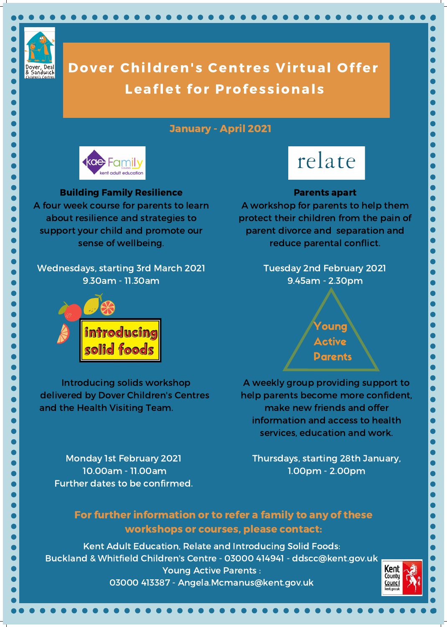

## Dover Children's Centres Virtual Offer Leaflet for Professionals

Young Active Parents

Introducing solids workshop delivered by Dover Children's Centres and the Health Visiting Team.

Monday 1st February 2021 10.00am - 11.00am Further dates to be confirmed.

## Parents apart

A workshop for parents to help them protect their children from the pain of parent divorce and separation and reduce parental conflict.

> Tuesday 2nd February 2021 9.45am - 2.30pm



A weekly group providing support to help parents become more confident, make new friends and offer information and access to health services, education and work.

Thursdays, starting 28th January, 1.00pm - 2.00pm

For further information or to refer a family to any of these workshops or courses, please contact:

Kent Adult Education, Relate and Introducing Solid Foods: Buckland & Whitfield Children's Centre - 03000 414941 - ddscc@kent.gov.uk Young Active Parents : 03000 413387 - Angela.Mcmanus@kent.gov.uk

## January - April 2021



# relate

Building Family Resilience

A four week course for parents to learn about resilience and strategies to support your child and promote our sense of wellbeing.

Wednesdays, starting 3rd March 2021 9.30am - 11.30am